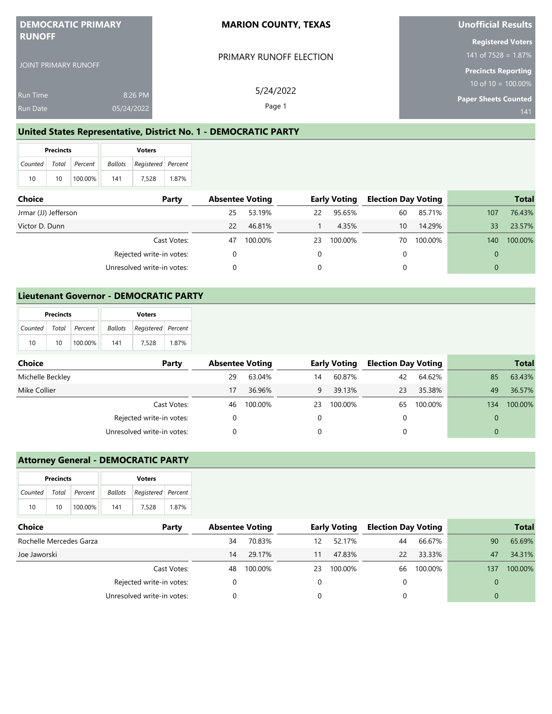| <b>DEMOCRATIC PRIMARY</b><br><b>RUNOFF</b> |            | <b>MARION COUNTY, TEXAS</b> | Unofficial Results                                   |
|--------------------------------------------|------------|-----------------------------|------------------------------------------------------|
|                                            |            | PRIMARY RUNOFF ELECTION     | <b>Registered Voters</b><br>141 of $7528 = 1.87\%$   |
| JOINT PRIMARY RUNOFF                       |            |                             | <b>Precincts Reporting</b>                           |
| <b>Run Time</b>                            | 8:26 PM    | 5/24/2022                   | 10 of $10 = 100.00\%$<br><b>Paper Sheets Counted</b> |
| <b>Run Date</b>                            | 05/24/2022 | Page 1                      | 141                                                  |

### **United States Representative, District No. 1 - DEMOCRATIC PARTY**

|    | <b>Precincts</b> |                       | <b>Voters</b> |                    |       |  |  |
|----|------------------|-----------------------|---------------|--------------------|-------|--|--|
|    |                  | Counted Total Percent | Ballots       | Registered Percent |       |  |  |
| 10 | 10               | 100.00%               | 141           | 7.528              | 1.87% |  |  |

| <b>Choice</b><br>Party   |                            | <b>Absentee Voting</b> |         | <b>Early Voting</b> |         | <b>Election Day Voting</b> |         | <b>Total</b> |         |
|--------------------------|----------------------------|------------------------|---------|---------------------|---------|----------------------------|---------|--------------|---------|
| Jrmar (JJ) Jefferson     |                            | 25                     | 53.19%  | 22                  | 95.65%  | 60                         | 85.71%  | 107          | 76.43%  |
| Victor D. Dunn           |                            | 22                     | 46.81%  |                     | 4.35%   | 10                         | 14.29%  | 33           | 23.57%  |
|                          | Cast Votes:                | 47                     | 100.00% | 23                  | 100.00% | 70                         | 100.00% | 140          | 100.00% |
| Rejected write-in votes: |                            |                        |         |                     |         |                            |         | 0            |         |
|                          | Unresolved write-in votes: |                        |         |                     |         |                            |         | 0            |         |

# **Lieutenant Governor - DEMOCRATIC PARTY**

|                       | <b>Precincts</b> |         | <b>Voters</b> |                    |       |  |  |
|-----------------------|------------------|---------|---------------|--------------------|-------|--|--|
| Counted Total Percent |                  |         | Ballots       | Registered Percent |       |  |  |
| 10                    | 10 <sup>1</sup>  | 100.00% | 141           | 7.528              | 1.87% |  |  |

| <b>Choice</b><br>Party |                            | <b>Absentee Voting</b> |         | <b>Early Voting</b> |         | <b>Election Day Voting</b> |         |     | <b>Total</b> |
|------------------------|----------------------------|------------------------|---------|---------------------|---------|----------------------------|---------|-----|--------------|
| Michelle Beckley       |                            | 29                     | 63.04%  | 14                  | 60.87%  | 42                         | 64.62%  | 85  | 63.43%       |
| Mike Collier           |                            | 17                     | 36.96%  | 9                   | 39.13%  | 23                         | 35.38%  | 49  | 36.57%       |
|                        | Cast Votes:                | 46                     | 100.00% | 23                  | 100.00% | 65                         | 100.00% | 134 | 100.00%      |
|                        | Rejected write-in votes:   |                        |         |                     |         |                            |         | 0   |              |
|                        | Unresolved write-in votes: |                        |         |                     |         |                            |         |     |              |

### **Attorney General - DEMOCRATIC PARTY**

|                | <b>Precincts</b> |         | <b>Voters</b> |                    |       |  |  |
|----------------|------------------|---------|---------------|--------------------|-------|--|--|
| <b>Counted</b> | Total I          | Percent | Ballots       | Registered Percent |       |  |  |
| 10             | 10               | 100.00% | 141           | 7.528              | 1.87% |  |  |

| Choice<br>Party         |                            | <b>Absentee Voting</b> |         | <b>Early Voting</b> |         | Election Day Voting |         | <b>Total</b> |         |
|-------------------------|----------------------------|------------------------|---------|---------------------|---------|---------------------|---------|--------------|---------|
| Rochelle Mercedes Garza |                            | 34                     | 70.83%  | 12                  | 52.17%  | 44                  | 66.67%  | 90           | 65.69%  |
| Joe Jaworski            |                            | 14                     | 29.17%  | 11                  | 47.83%  | 22                  | 33.33%  | 47           | 34.31%  |
|                         | Cast Votes:                | 48                     | 100.00% | 23                  | 100.00% | 66                  | 100.00% | 137          | 100.00% |
|                         | Rejected write-in votes:   |                        |         |                     |         |                     |         |              |         |
|                         | Unresolved write-in votes: |                        |         |                     |         |                     |         | 0            |         |